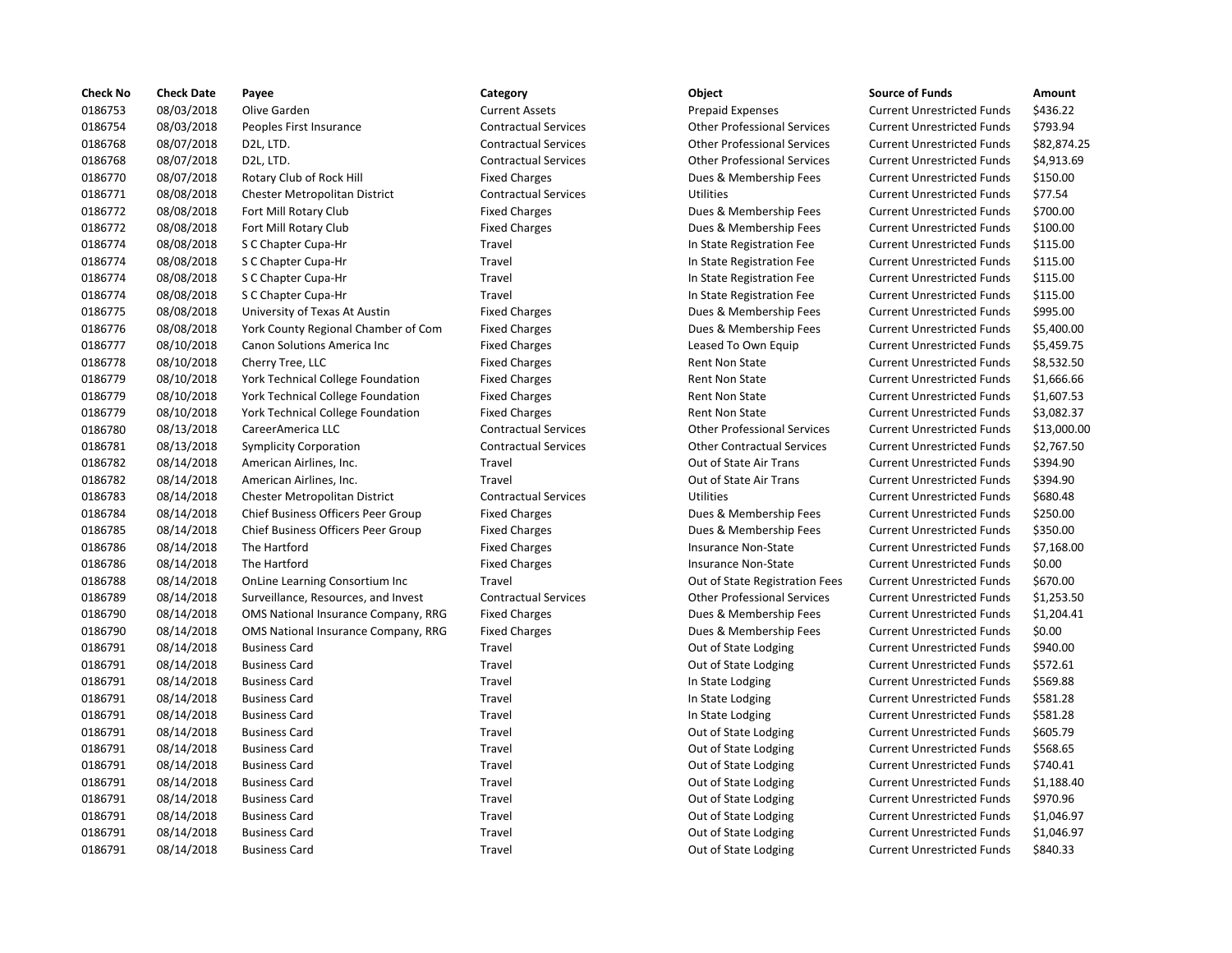| <b>Check No</b> | <b>Check Date</b> | Payee                                | Category                    | Object                             | <b>Source of Funds</b>            | Amount    |
|-----------------|-------------------|--------------------------------------|-----------------------------|------------------------------------|-----------------------------------|-----------|
| 0186753         | 08/03/2018        | Olive Garden                         | <b>Current Assets</b>       | <b>Prepaid Expenses</b>            | <b>Current Unrestricted Funds</b> | \$436.22  |
| 0186754         | 08/03/2018        | Peoples First Insurance              | <b>Contractual Services</b> | <b>Other Professional Services</b> | <b>Current Unrestricted Funds</b> | \$793.94  |
| 0186768         | 08/07/2018        | D2L, LTD.                            | <b>Contractual Services</b> | <b>Other Professional Services</b> | <b>Current Unrestricted Funds</b> | \$82.874  |
| 0186768         | 08/07/2018        | D2L, LTD.                            | <b>Contractual Services</b> | <b>Other Professional Services</b> | <b>Current Unrestricted Funds</b> | \$4,913.6 |
| 0186770         | 08/07/2018        | Rotary Club of Rock Hill             | <b>Fixed Charges</b>        | Dues & Membership Fees             | <b>Current Unrestricted Funds</b> | \$150.00  |
| 0186771         | 08/08/2018        | Chester Metropolitan District        | <b>Contractual Services</b> | <b>Utilities</b>                   | <b>Current Unrestricted Funds</b> | \$77.54   |
| 0186772         | 08/08/2018        | Fort Mill Rotary Club                | <b>Fixed Charges</b>        | Dues & Membership Fees             | <b>Current Unrestricted Funds</b> | \$700.00  |
| 0186772         | 08/08/2018        | Fort Mill Rotary Club                | <b>Fixed Charges</b>        | Dues & Membership Fees             | <b>Current Unrestricted Funds</b> | \$100.00  |
| 0186774         | 08/08/2018        | S C Chapter Cupa-Hr                  | Travel                      | In State Registration Fee          | <b>Current Unrestricted Funds</b> | \$115.00  |
| 0186774         | 08/08/2018        | S C Chapter Cupa-Hr                  | Travel                      | In State Registration Fee          | <b>Current Unrestricted Funds</b> | \$115.00  |
| 0186774         | 08/08/2018        | S C Chapter Cupa-Hr                  | Travel                      | In State Registration Fee          | <b>Current Unrestricted Funds</b> | \$115.00  |
| 0186774         | 08/08/2018        | S C Chapter Cupa-Hr                  | Travel                      | In State Registration Fee          | <b>Current Unrestricted Funds</b> | \$115.00  |
| 0186775         | 08/08/2018        | University of Texas At Austin        | <b>Fixed Charges</b>        | Dues & Membership Fees             | <b>Current Unrestricted Funds</b> | \$995.00  |
| 0186776         | 08/08/2018        | York County Regional Chamber of Com  | <b>Fixed Charges</b>        | Dues & Membership Fees             | <b>Current Unrestricted Funds</b> | \$5,400.0 |
| 0186777         | 08/10/2018        | Canon Solutions America Inc          | <b>Fixed Charges</b>        | Leased To Own Equip                | <b>Current Unrestricted Funds</b> | \$5,459.7 |
| 0186778         | 08/10/2018        | Cherry Tree, LLC                     | <b>Fixed Charges</b>        | <b>Rent Non State</b>              | <b>Current Unrestricted Funds</b> | \$8,532.5 |
| 0186779         | 08/10/2018        | York Technical College Foundation    | <b>Fixed Charges</b>        | <b>Rent Non State</b>              | <b>Current Unrestricted Funds</b> | \$1,666.6 |
| 0186779         | 08/10/2018        | York Technical College Foundation    | <b>Fixed Charges</b>        | Rent Non State                     | <b>Current Unrestricted Funds</b> | \$1,607.5 |
| 0186779         | 08/10/2018        | York Technical College Foundation    | <b>Fixed Charges</b>        | Rent Non State                     | <b>Current Unrestricted Funds</b> | \$3,082.3 |
| 0186780         | 08/13/2018        | CareerAmerica LLC                    | <b>Contractual Services</b> | <b>Other Professional Services</b> | <b>Current Unrestricted Funds</b> | \$13,000  |
| 0186781         | 08/13/2018        | <b>Symplicity Corporation</b>        | <b>Contractual Services</b> | <b>Other Contractual Services</b>  | <b>Current Unrestricted Funds</b> | \$2,767.5 |
| 0186782         | 08/14/2018        | American Airlines, Inc.              | Travel                      | Out of State Air Trans             | <b>Current Unrestricted Funds</b> | \$394.90  |
| 0186782         | 08/14/2018        | American Airlines, Inc.              | Travel                      | Out of State Air Trans             | <b>Current Unrestricted Funds</b> | \$394.90  |
| 0186783         | 08/14/2018        | <b>Chester Metropolitan District</b> | <b>Contractual Services</b> | <b>Utilities</b>                   | <b>Current Unrestricted Funds</b> | \$680.48  |
| 0186784         | 08/14/2018        | Chief Business Officers Peer Group   | <b>Fixed Charges</b>        | Dues & Membership Fees             | <b>Current Unrestricted Funds</b> | \$250.00  |
| 0186785         | 08/14/2018        | Chief Business Officers Peer Group   | <b>Fixed Charges</b>        | Dues & Membership Fees             | <b>Current Unrestricted Funds</b> | \$350.00  |
| 0186786         | 08/14/2018        | The Hartford                         | <b>Fixed Charges</b>        | <b>Insurance Non-State</b>         | <b>Current Unrestricted Funds</b> | \$7,168.0 |
| 0186786         | 08/14/2018        | The Hartford                         | <b>Fixed Charges</b>        | <b>Insurance Non-State</b>         | <b>Current Unrestricted Funds</b> | \$0.00    |
| 0186788         | 08/14/2018        | OnLine Learning Consortium Inc       | Travel                      | Out of State Registration Fees     | <b>Current Unrestricted Funds</b> | \$670.00  |
| 0186789         | 08/14/2018        | Surveillance, Resources, and Invest  | <b>Contractual Services</b> | <b>Other Professional Services</b> | <b>Current Unrestricted Funds</b> | \$1,253.5 |
| 0186790         | 08/14/2018        | OMS National Insurance Company, RRG  | <b>Fixed Charges</b>        | Dues & Membership Fees             | <b>Current Unrestricted Funds</b> | \$1,204.4 |
| 0186790         | 08/14/2018        | OMS National Insurance Company, RRG  | <b>Fixed Charges</b>        | Dues & Membership Fees             | <b>Current Unrestricted Funds</b> | \$0.00    |
| 0186791         | 08/14/2018        | <b>Business Card</b>                 | Travel                      | Out of State Lodging               | <b>Current Unrestricted Funds</b> | \$940.00  |
| 0186791         | 08/14/2018        | <b>Business Card</b>                 | Travel                      | Out of State Lodging               | <b>Current Unrestricted Funds</b> | \$572.61  |
| 0186791         | 08/14/2018        | <b>Business Card</b>                 | Travel                      | In State Lodging                   | <b>Current Unrestricted Funds</b> | \$569.88  |
| 0186791         | 08/14/2018        | <b>Business Card</b>                 | Travel                      | In State Lodging                   | <b>Current Unrestricted Funds</b> | \$581.28  |
| 0186791         | 08/14/2018        | <b>Business Card</b>                 | Travel                      | In State Lodging                   | <b>Current Unrestricted Funds</b> | \$581.28  |
| 0186791         | 08/14/2018        | <b>Business Card</b>                 | Travel                      | Out of State Lodging               | <b>Current Unrestricted Funds</b> | \$605.79  |
| 0186791         | 08/14/2018        | <b>Business Card</b>                 | Travel                      | Out of State Lodging               | <b>Current Unrestricted Funds</b> | \$568.65  |
| 0186791         | 08/14/2018        | <b>Business Card</b>                 | Travel                      | Out of State Lodging               | <b>Current Unrestricted Funds</b> | \$740.41  |
| 0186791         | 08/14/2018        | <b>Business Card</b>                 | Travel                      | Out of State Lodging               | <b>Current Unrestricted Funds</b> | \$1,188.4 |
| 0186791         | 08/14/2018        | <b>Business Card</b>                 | Travel                      | Out of State Lodging               | <b>Current Unrestricted Funds</b> | \$970.96  |
| 0186791         | 08/14/2018        | <b>Business Card</b>                 | Travel                      | Out of State Lodging               | <b>Current Unrestricted Funds</b> | \$1,046.9 |
| 0186791         | 08/14/2018        | <b>Business Card</b>                 | Travel                      | Out of State Lodging               | <b>Current Unrestricted Funds</b> | \$1,046.9 |
| 0186791         | 08/14/2018        | <b>Business Card</b>                 | Travel                      | Out of State Lodging               | <b>Current Unrestricted Funds</b> | \$840.33  |
|                 |                   |                                      |                             |                                    |                                   |           |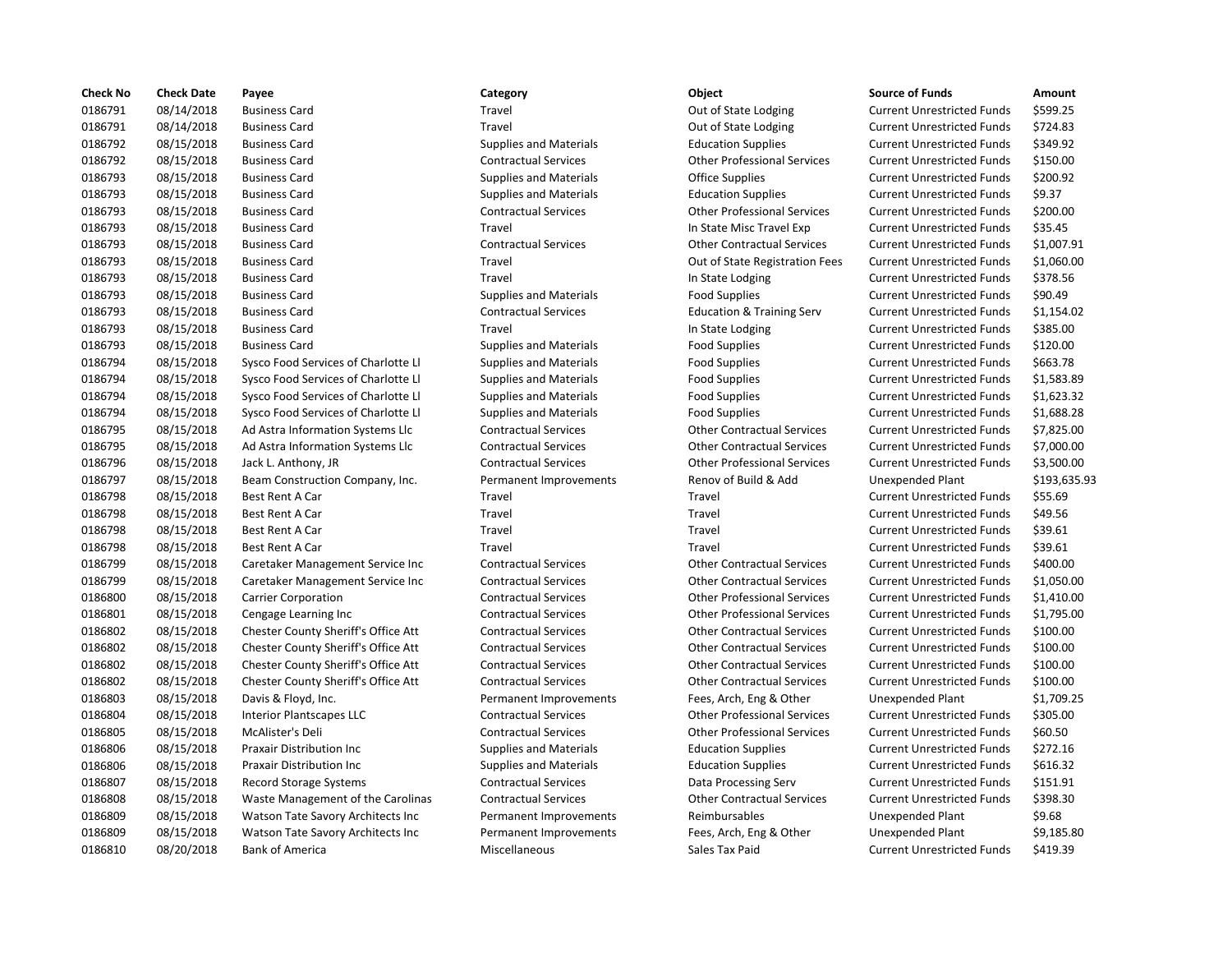| <b>Check No</b> | <b>Check Date</b> | Payee                               | Category                      | Object                               | <b>Source of Funds</b>            | Amount    |
|-----------------|-------------------|-------------------------------------|-------------------------------|--------------------------------------|-----------------------------------|-----------|
| 0186791         | 08/14/2018        | <b>Business Card</b>                | Travel                        | Out of State Lodging                 | <b>Current Unrestricted Funds</b> | \$599.25  |
| 0186791         | 08/14/2018        | <b>Business Card</b>                | Travel                        | Out of State Lodging                 | <b>Current Unrestricted Funds</b> | \$724.83  |
| 0186792         | 08/15/2018        | <b>Business Card</b>                | <b>Supplies and Materials</b> | <b>Education Supplies</b>            | <b>Current Unrestricted Funds</b> | \$349.92  |
| 0186792         | 08/15/2018        | <b>Business Card</b>                | <b>Contractual Services</b>   | <b>Other Professional Services</b>   | <b>Current Unrestricted Funds</b> | \$150.00  |
| 0186793         | 08/15/2018        | <b>Business Card</b>                | <b>Supplies and Materials</b> | <b>Office Supplies</b>               | <b>Current Unrestricted Funds</b> | \$200.92  |
| 0186793         | 08/15/2018        | <b>Business Card</b>                | <b>Supplies and Materials</b> | <b>Education Supplies</b>            | <b>Current Unrestricted Funds</b> | \$9.37    |
| 0186793         | 08/15/2018        | <b>Business Card</b>                | <b>Contractual Services</b>   | <b>Other Professional Services</b>   | <b>Current Unrestricted Funds</b> | \$200.00  |
| 0186793         | 08/15/2018        | <b>Business Card</b>                | Travel                        | In State Misc Travel Exp             | <b>Current Unrestricted Funds</b> | \$35.45   |
| 0186793         | 08/15/2018        | <b>Business Card</b>                | <b>Contractual Services</b>   | <b>Other Contractual Services</b>    | <b>Current Unrestricted Funds</b> | \$1,007.9 |
| 0186793         | 08/15/2018        | <b>Business Card</b>                | Travel                        | Out of State Registration Fees       | <b>Current Unrestricted Funds</b> | \$1,060.0 |
| 0186793         | 08/15/2018        | <b>Business Card</b>                | Travel                        | In State Lodging                     | <b>Current Unrestricted Funds</b> | \$378.56  |
| 0186793         | 08/15/2018        | <b>Business Card</b>                | <b>Supplies and Materials</b> | <b>Food Supplies</b>                 | <b>Current Unrestricted Funds</b> | \$90.49   |
| 0186793         | 08/15/2018        | <b>Business Card</b>                | <b>Contractual Services</b>   | <b>Education &amp; Training Serv</b> | <b>Current Unrestricted Funds</b> | \$1,154.0 |
| 0186793         | 08/15/2018        | <b>Business Card</b>                | Travel                        | In State Lodging                     | <b>Current Unrestricted Funds</b> | \$385.00  |
| 0186793         | 08/15/2018        | <b>Business Card</b>                | <b>Supplies and Materials</b> | <b>Food Supplies</b>                 | <b>Current Unrestricted Funds</b> | \$120.00  |
| 0186794         | 08/15/2018        | Sysco Food Services of Charlotte Ll | <b>Supplies and Materials</b> | <b>Food Supplies</b>                 | <b>Current Unrestricted Funds</b> | \$663.78  |
| 0186794         | 08/15/2018        | Sysco Food Services of Charlotte Ll | <b>Supplies and Materials</b> | <b>Food Supplies</b>                 | <b>Current Unrestricted Funds</b> | \$1,583.8 |
| 0186794         | 08/15/2018        | Sysco Food Services of Charlotte Ll | <b>Supplies and Materials</b> | <b>Food Supplies</b>                 | <b>Current Unrestricted Funds</b> | \$1,623.3 |
| 0186794         | 08/15/2018        | Sysco Food Services of Charlotte Ll | <b>Supplies and Materials</b> | <b>Food Supplies</b>                 | <b>Current Unrestricted Funds</b> | \$1,688.2 |
| 0186795         | 08/15/2018        | Ad Astra Information Systems Llc    | <b>Contractual Services</b>   | <b>Other Contractual Services</b>    | <b>Current Unrestricted Funds</b> | \$7,825.0 |
| 0186795         | 08/15/2018        | Ad Astra Information Systems Llc    | <b>Contractual Services</b>   | <b>Other Contractual Services</b>    | <b>Current Unrestricted Funds</b> | \$7,000.0 |
| 0186796         | 08/15/2018        | Jack L. Anthony, JR                 | <b>Contractual Services</b>   | <b>Other Professional Services</b>   | <b>Current Unrestricted Funds</b> | \$3,500.0 |
| 0186797         | 08/15/2018        | Beam Construction Company, Inc.     | Permanent Improvements        | Renov of Build & Add                 | <b>Unexpended Plant</b>           | \$193,63  |
| 0186798         | 08/15/2018        | <b>Best Rent A Car</b>              | Travel                        | Travel                               | <b>Current Unrestricted Funds</b> | \$55.69   |
| 0186798         | 08/15/2018        | <b>Best Rent A Car</b>              | Travel                        | Travel                               | <b>Current Unrestricted Funds</b> | \$49.56   |
| 0186798         | 08/15/2018        | Best Rent A Car                     | Travel                        | Travel                               | <b>Current Unrestricted Funds</b> | \$39.61   |
| 0186798         | 08/15/2018        | <b>Best Rent A Car</b>              | Travel                        | Travel                               | <b>Current Unrestricted Funds</b> | \$39.61   |
| 0186799         | 08/15/2018        | Caretaker Management Service Inc    | <b>Contractual Services</b>   | <b>Other Contractual Services</b>    | <b>Current Unrestricted Funds</b> | \$400.00  |
| 0186799         | 08/15/2018        | Caretaker Management Service Inc    | <b>Contractual Services</b>   | <b>Other Contractual Services</b>    | <b>Current Unrestricted Funds</b> | \$1,050.0 |
| 0186800         | 08/15/2018        | <b>Carrier Corporation</b>          | <b>Contractual Services</b>   | <b>Other Professional Services</b>   | <b>Current Unrestricted Funds</b> | \$1,410.0 |
| 0186801         | 08/15/2018        | Cengage Learning Inc                | <b>Contractual Services</b>   | <b>Other Professional Services</b>   | <b>Current Unrestricted Funds</b> | \$1,795.0 |
| 0186802         | 08/15/2018        | Chester County Sheriff's Office Att | <b>Contractual Services</b>   | <b>Other Contractual Services</b>    | <b>Current Unrestricted Funds</b> | \$100.00  |
| 0186802         | 08/15/2018        | Chester County Sheriff's Office Att | <b>Contractual Services</b>   | <b>Other Contractual Services</b>    | <b>Current Unrestricted Funds</b> | \$100.00  |
| 0186802         | 08/15/2018        | Chester County Sheriff's Office Att | <b>Contractual Services</b>   | <b>Other Contractual Services</b>    | <b>Current Unrestricted Funds</b> | \$100.00  |
| 0186802         | 08/15/2018        | Chester County Sheriff's Office Att | <b>Contractual Services</b>   | <b>Other Contractual Services</b>    | <b>Current Unrestricted Funds</b> | \$100.00  |
| 0186803         | 08/15/2018        | Davis & Floyd, Inc.                 | Permanent Improvements        | Fees, Arch, Eng & Other              | <b>Unexpended Plant</b>           | \$1,709.2 |
| 0186804         | 08/15/2018        | <b>Interior Plantscapes LLC</b>     | <b>Contractual Services</b>   | <b>Other Professional Services</b>   | <b>Current Unrestricted Funds</b> | \$305.00  |
| 0186805         | 08/15/2018        | McAlister's Deli                    | <b>Contractual Services</b>   | <b>Other Professional Services</b>   | <b>Current Unrestricted Funds</b> | \$60.50   |
| 0186806         | 08/15/2018        | Praxair Distribution Inc            | <b>Supplies and Materials</b> | <b>Education Supplies</b>            | <b>Current Unrestricted Funds</b> | \$272.16  |
| 0186806         | 08/15/2018        | Praxair Distribution Inc            | <b>Supplies and Materials</b> | <b>Education Supplies</b>            | <b>Current Unrestricted Funds</b> | \$616.32  |
| 0186807         | 08/15/2018        | Record Storage Systems              | <b>Contractual Services</b>   | Data Processing Serv                 | <b>Current Unrestricted Funds</b> | \$151.91  |
| 0186808         | 08/15/2018        | Waste Management of the Carolinas   | <b>Contractual Services</b>   | <b>Other Contractual Services</b>    | <b>Current Unrestricted Funds</b> | \$398.30  |
| 0186809         | 08/15/2018        | Watson Tate Savory Architects Inc   | Permanent Improvements        | Reimbursables                        | <b>Unexpended Plant</b>           | \$9.68    |
| 0186809         | 08/15/2018        | Watson Tate Savory Architects Inc   | Permanent Improvements        | Fees, Arch, Eng & Other              | Unexpended Plant                  | \$9,185.8 |
| 0186810         | 08/20/2018        | <b>Bank of America</b>              | Miscellaneous                 | Sales Tax Paid                       | <b>Current Unrestricted Funds</b> | \$419.39  |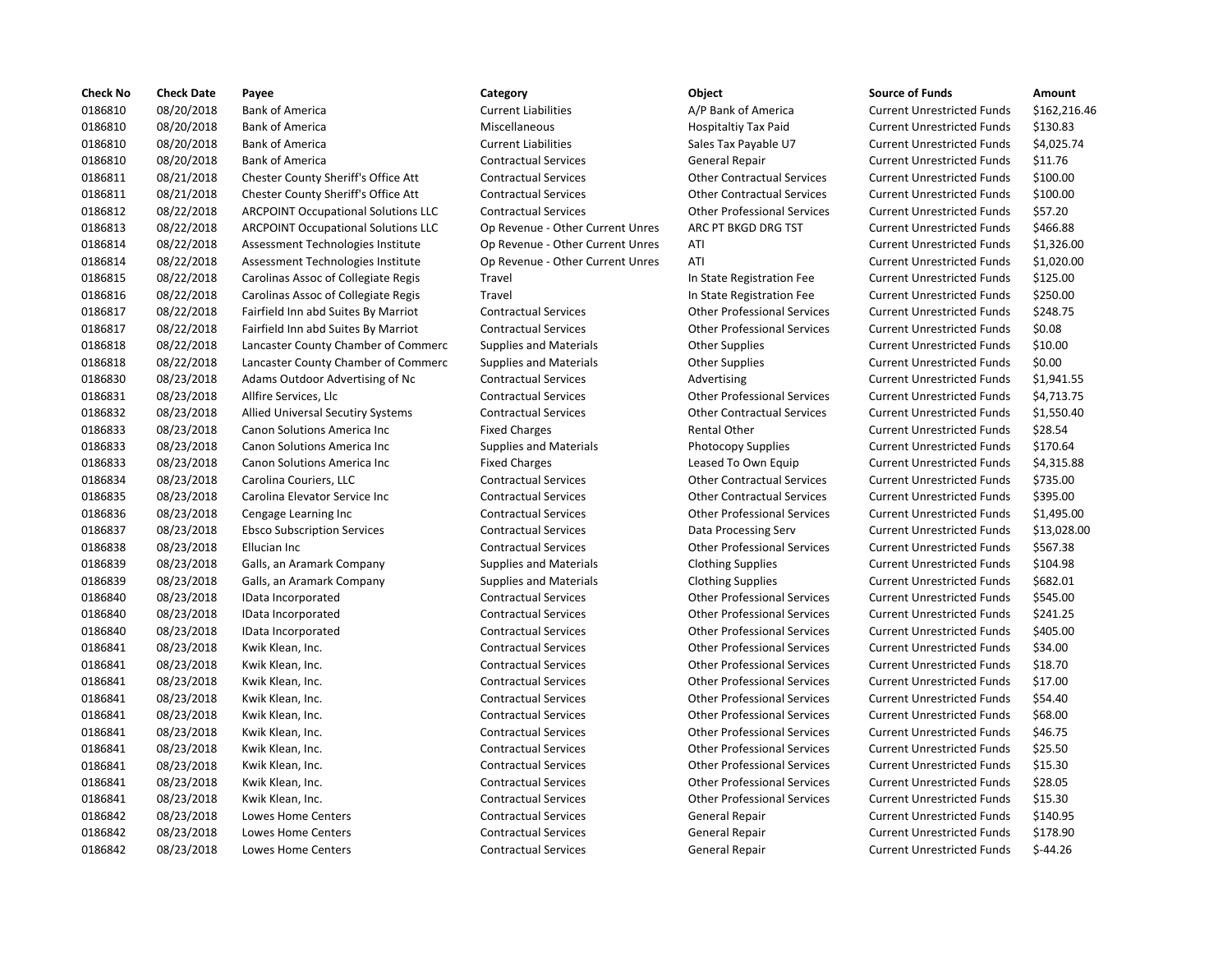| <b>Check No</b> | <b>Check Date</b> | Payee                                      | Category                         | Object                             | <b>Source of Funds</b>            | Amount    |
|-----------------|-------------------|--------------------------------------------|----------------------------------|------------------------------------|-----------------------------------|-----------|
| 0186810         | 08/20/2018        | <b>Bank of America</b>                     | <b>Current Liabilities</b>       | A/P Bank of America                | <b>Current Unrestricted Funds</b> | \$162,21  |
| 0186810         | 08/20/2018        | <b>Bank of America</b>                     | Miscellaneous                    | Hospitaltiy Tax Paid               | <b>Current Unrestricted Funds</b> | \$130.83  |
| 0186810         | 08/20/2018        | <b>Bank of America</b>                     | <b>Current Liabilities</b>       | Sales Tax Payable U7               | <b>Current Unrestricted Funds</b> | \$4,025.7 |
| 0186810         | 08/20/2018        | <b>Bank of America</b>                     | <b>Contractual Services</b>      | <b>General Repair</b>              | <b>Current Unrestricted Funds</b> | \$11.76   |
| 0186811         | 08/21/2018        | Chester County Sheriff's Office Att        | <b>Contractual Services</b>      | <b>Other Contractual Services</b>  | <b>Current Unrestricted Funds</b> | \$100.00  |
| 0186811         | 08/21/2018        | <b>Chester County Sheriff's Office Att</b> | <b>Contractual Services</b>      | <b>Other Contractual Services</b>  | <b>Current Unrestricted Funds</b> | \$100.00  |
| 0186812         | 08/22/2018        | <b>ARCPOINT Occupational Solutions LLC</b> | <b>Contractual Services</b>      | <b>Other Professional Services</b> | <b>Current Unrestricted Funds</b> | \$57.20   |
| 0186813         | 08/22/2018        | <b>ARCPOINT Occupational Solutions LLC</b> | Op Revenue - Other Current Unres | ARC PT BKGD DRG TST                | <b>Current Unrestricted Funds</b> | \$466.88  |
| 0186814         | 08/22/2018        | Assessment Technologies Institute          | Op Revenue - Other Current Unres | ATI                                | <b>Current Unrestricted Funds</b> | \$1,326.0 |
| 0186814         | 08/22/2018        | Assessment Technologies Institute          | Op Revenue - Other Current Unres | ATI                                | <b>Current Unrestricted Funds</b> | \$1,020.0 |
| 0186815         | 08/22/2018        | Carolinas Assoc of Collegiate Regis        | Travel                           | In State Registration Fee          | <b>Current Unrestricted Funds</b> | \$125.00  |
| 0186816         | 08/22/2018        | Carolinas Assoc of Collegiate Regis        | Travel                           | In State Registration Fee          | <b>Current Unrestricted Funds</b> | \$250.00  |
| 0186817         | 08/22/2018        | Fairfield Inn abd Suites By Marriot        | <b>Contractual Services</b>      | <b>Other Professional Services</b> | <b>Current Unrestricted Funds</b> | \$248.75  |
| 0186817         | 08/22/2018        | Fairfield Inn abd Suites By Marriot        | <b>Contractual Services</b>      | <b>Other Professional Services</b> | <b>Current Unrestricted Funds</b> | \$0.08    |
| 0186818         | 08/22/2018        | Lancaster County Chamber of Commerc        | Supplies and Materials           | <b>Other Supplies</b>              | <b>Current Unrestricted Funds</b> | \$10.00   |
| 0186818         | 08/22/2018        | Lancaster County Chamber of Commerc        | <b>Supplies and Materials</b>    | <b>Other Supplies</b>              | <b>Current Unrestricted Funds</b> | \$0.00    |
| 0186830         | 08/23/2018        | Adams Outdoor Advertising of Nc            | <b>Contractual Services</b>      | Advertising                        | <b>Current Unrestricted Funds</b> | \$1,941.5 |
| 0186831         | 08/23/2018        | Allfire Services, Llc                      | <b>Contractual Services</b>      | <b>Other Professional Services</b> | <b>Current Unrestricted Funds</b> | \$4,713.7 |
| 0186832         | 08/23/2018        | Allied Universal Secutiry Systems          | <b>Contractual Services</b>      | <b>Other Contractual Services</b>  | <b>Current Unrestricted Funds</b> | \$1,550.4 |
| 0186833         | 08/23/2018        | Canon Solutions America Inc                | <b>Fixed Charges</b>             | <b>Rental Other</b>                | <b>Current Unrestricted Funds</b> | \$28.54   |
| 0186833         | 08/23/2018        | Canon Solutions America Inc                | <b>Supplies and Materials</b>    | Photocopy Supplies                 | <b>Current Unrestricted Funds</b> | \$170.64  |
| 0186833         | 08/23/2018        | <b>Canon Solutions America Inc.</b>        | <b>Fixed Charges</b>             | Leased To Own Equip                | <b>Current Unrestricted Funds</b> | \$4,315.8 |
| 0186834         | 08/23/2018        | Carolina Couriers, LLC                     | <b>Contractual Services</b>      | <b>Other Contractual Services</b>  | <b>Current Unrestricted Funds</b> | \$735.00  |
| 0186835         | 08/23/2018        | Carolina Elevator Service Inc              | <b>Contractual Services</b>      | <b>Other Contractual Services</b>  | <b>Current Unrestricted Funds</b> | \$395.00  |
| 0186836         | 08/23/2018        | Cengage Learning Inc                       | <b>Contractual Services</b>      | <b>Other Professional Services</b> | <b>Current Unrestricted Funds</b> | \$1,495.0 |
| 0186837         | 08/23/2018        | <b>Ebsco Subscription Services</b>         | <b>Contractual Services</b>      | Data Processing Serv               | <b>Current Unrestricted Funds</b> | \$13,028  |
| 0186838         | 08/23/2018        | Ellucian Inc                               | <b>Contractual Services</b>      | <b>Other Professional Services</b> | <b>Current Unrestricted Funds</b> | \$567.38  |
| 0186839         | 08/23/2018        | Galls, an Aramark Company                  | <b>Supplies and Materials</b>    | <b>Clothing Supplies</b>           | <b>Current Unrestricted Funds</b> | \$104.98  |
| 0186839         | 08/23/2018        | Galls, an Aramark Company                  | <b>Supplies and Materials</b>    | <b>Clothing Supplies</b>           | <b>Current Unrestricted Funds</b> | \$682.01  |
| 0186840         | 08/23/2018        | IData Incorporated                         | <b>Contractual Services</b>      | <b>Other Professional Services</b> | <b>Current Unrestricted Funds</b> | \$545.00  |
| 0186840         | 08/23/2018        | IData Incorporated                         | <b>Contractual Services</b>      | <b>Other Professional Services</b> | <b>Current Unrestricted Funds</b> | \$241.25  |
| 0186840         | 08/23/2018        | IData Incorporated                         | <b>Contractual Services</b>      | <b>Other Professional Services</b> | <b>Current Unrestricted Funds</b> | \$405.00  |
| 0186841         | 08/23/2018        | Kwik Klean, Inc.                           | <b>Contractual Services</b>      | <b>Other Professional Services</b> | <b>Current Unrestricted Funds</b> | \$34.00   |
| 0186841         | 08/23/2018        | Kwik Klean, Inc.                           | <b>Contractual Services</b>      | <b>Other Professional Services</b> | <b>Current Unrestricted Funds</b> | \$18.70   |
| 0186841         | 08/23/2018        | Kwik Klean, Inc.                           | <b>Contractual Services</b>      | <b>Other Professional Services</b> | <b>Current Unrestricted Funds</b> | \$17.00   |
| 0186841         | 08/23/2018        | Kwik Klean, Inc.                           | <b>Contractual Services</b>      | <b>Other Professional Services</b> | <b>Current Unrestricted Funds</b> | \$54.40   |
| 0186841         | 08/23/2018        | Kwik Klean, Inc.                           | <b>Contractual Services</b>      | <b>Other Professional Services</b> | <b>Current Unrestricted Funds</b> | \$68.00   |
| 0186841         | 08/23/2018        | Kwik Klean, Inc.                           | <b>Contractual Services</b>      | <b>Other Professional Services</b> | <b>Current Unrestricted Funds</b> | \$46.75   |
| 0186841         | 08/23/2018        | Kwik Klean, Inc.                           | <b>Contractual Services</b>      | <b>Other Professional Services</b> | <b>Current Unrestricted Funds</b> | \$25.50   |
| 0186841         | 08/23/2018        | Kwik Klean, Inc.                           | <b>Contractual Services</b>      | <b>Other Professional Services</b> | <b>Current Unrestricted Funds</b> | \$15.30   |
| 0186841         | 08/23/2018        | Kwik Klean, Inc.                           | <b>Contractual Services</b>      | <b>Other Professional Services</b> | <b>Current Unrestricted Funds</b> | \$28.05   |
| 0186841         | 08/23/2018        | Kwik Klean, Inc.                           | <b>Contractual Services</b>      | <b>Other Professional Services</b> | <b>Current Unrestricted Funds</b> | \$15.30   |
| 0186842         | 08/23/2018        | Lowes Home Centers                         | <b>Contractual Services</b>      | <b>General Repair</b>              | <b>Current Unrestricted Funds</b> | \$140.95  |
| 0186842         | 08/23/2018        | <b>Lowes Home Centers</b>                  | <b>Contractual Services</b>      | General Repair                     | <b>Current Unrestricted Funds</b> | \$178.90  |
| 0186842         | 08/23/2018        | Lowes Home Centers                         | <b>Contractual Services</b>      | General Repair                     | <b>Current Unrestricted Funds</b> | $$-44.26$ |
|                 |                   |                                            |                                  |                                    |                                   |           |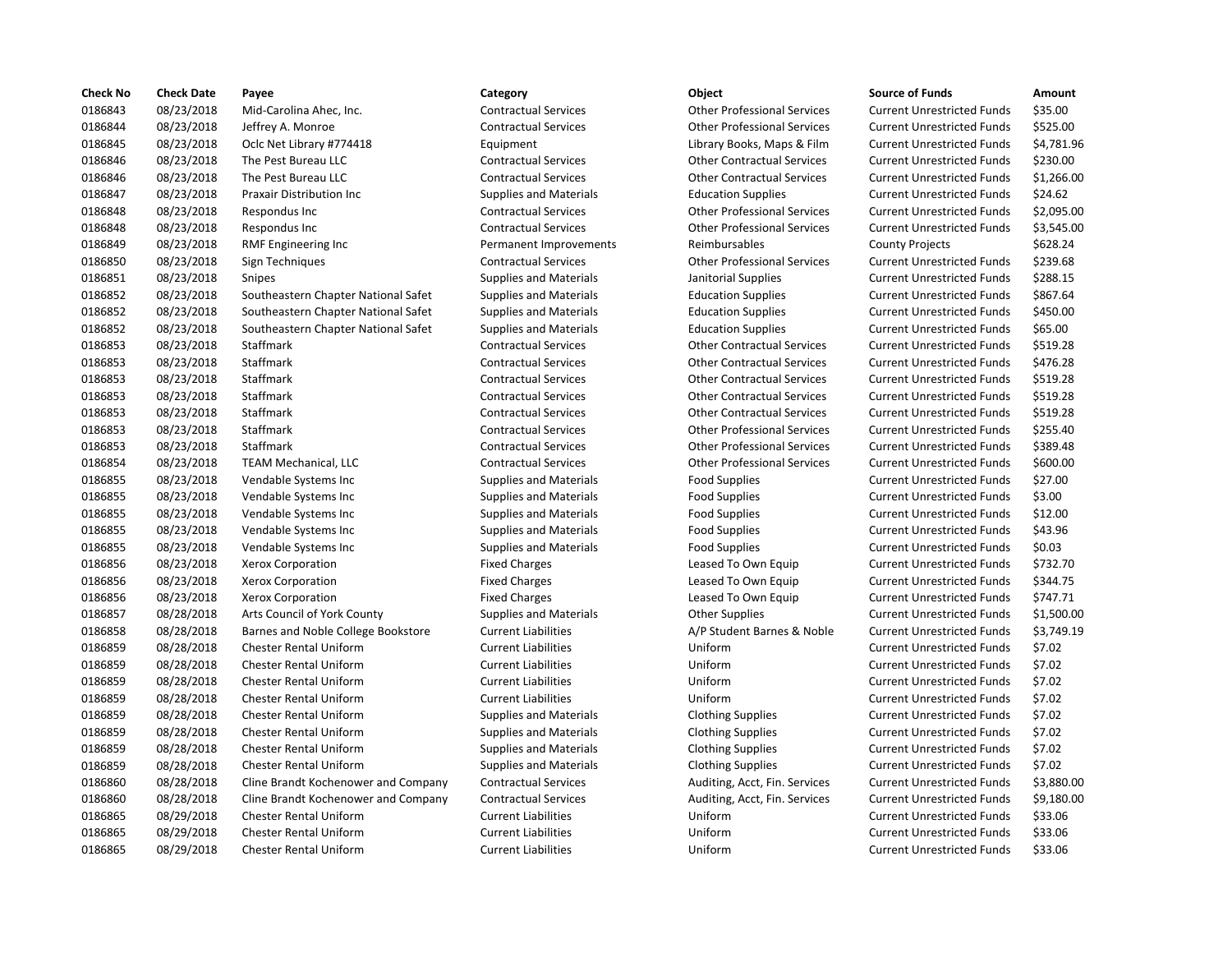| <b>Check No</b> | <b>Check Date</b> | Payee                               | Category                      | Object                             | <b>Source of Funds</b>            | Amount    |
|-----------------|-------------------|-------------------------------------|-------------------------------|------------------------------------|-----------------------------------|-----------|
| 0186843         | 08/23/2018        | Mid-Carolina Ahec, Inc.             | <b>Contractual Services</b>   | <b>Other Professional Services</b> | <b>Current Unrestricted Funds</b> | \$35.00   |
| 0186844         | 08/23/2018        | Jeffrey A. Monroe                   | <b>Contractual Services</b>   | <b>Other Professional Services</b> | <b>Current Unrestricted Funds</b> | \$525.00  |
| 0186845         | 08/23/2018        | Oclc Net Library #774418            | Equipment                     | Library Books, Maps & Film         | <b>Current Unrestricted Funds</b> | \$4,781.9 |
| 0186846         | 08/23/2018        | The Pest Bureau LLC                 | <b>Contractual Services</b>   | <b>Other Contractual Services</b>  | <b>Current Unrestricted Funds</b> | \$230.00  |
| 0186846         | 08/23/2018        | The Pest Bureau LLC                 | <b>Contractual Services</b>   | <b>Other Contractual Services</b>  | <b>Current Unrestricted Funds</b> | \$1,266.0 |
| 0186847         | 08/23/2018        | <b>Praxair Distribution Inc.</b>    | <b>Supplies and Materials</b> | <b>Education Supplies</b>          | <b>Current Unrestricted Funds</b> | \$24.62   |
| 0186848         | 08/23/2018        | Respondus Inc                       | <b>Contractual Services</b>   | <b>Other Professional Services</b> | <b>Current Unrestricted Funds</b> | \$2,095.0 |
| 0186848         | 08/23/2018        | Respondus Inc                       | <b>Contractual Services</b>   | <b>Other Professional Services</b> | <b>Current Unrestricted Funds</b> | \$3,545.0 |
| 0186849         | 08/23/2018        | RMF Engineering Inc                 | Permanent Improvements        | Reimbursables                      | <b>County Projects</b>            | \$628.24  |
| 0186850         | 08/23/2018        | Sign Techniques                     | <b>Contractual Services</b>   | <b>Other Professional Services</b> | <b>Current Unrestricted Funds</b> | \$239.68  |
| 0186851         | 08/23/2018        | <b>Snipes</b>                       | <b>Supplies and Materials</b> | Janitorial Supplies                | <b>Current Unrestricted Funds</b> | \$288.15  |
| 0186852         | 08/23/2018        | Southeastern Chapter National Safet | <b>Supplies and Materials</b> | <b>Education Supplies</b>          | <b>Current Unrestricted Funds</b> | \$867.64  |
| 0186852         | 08/23/2018        | Southeastern Chapter National Safet | <b>Supplies and Materials</b> | <b>Education Supplies</b>          | <b>Current Unrestricted Funds</b> | \$450.00  |
| 0186852         | 08/23/2018        | Southeastern Chapter National Safet | <b>Supplies and Materials</b> | <b>Education Supplies</b>          | <b>Current Unrestricted Funds</b> | \$65.00   |
| 0186853         | 08/23/2018        | Staffmark                           | <b>Contractual Services</b>   | <b>Other Contractual Services</b>  | <b>Current Unrestricted Funds</b> | \$519.28  |
| 0186853         | 08/23/2018        | <b>Staffmark</b>                    | <b>Contractual Services</b>   | <b>Other Contractual Services</b>  | <b>Current Unrestricted Funds</b> | \$476.28  |
| 0186853         | 08/23/2018        | Staffmark                           | <b>Contractual Services</b>   | <b>Other Contractual Services</b>  | <b>Current Unrestricted Funds</b> | \$519.28  |
| 0186853         | 08/23/2018        | Staffmark                           | <b>Contractual Services</b>   | <b>Other Contractual Services</b>  | <b>Current Unrestricted Funds</b> | \$519.28  |
| 0186853         | 08/23/2018        | Staffmark                           | <b>Contractual Services</b>   | <b>Other Contractual Services</b>  | <b>Current Unrestricted Funds</b> | \$519.28  |
| 0186853         | 08/23/2018        | Staffmark                           | <b>Contractual Services</b>   | <b>Other Professional Services</b> | <b>Current Unrestricted Funds</b> | \$255.40  |
| 0186853         | 08/23/2018        | Staffmark                           | <b>Contractual Services</b>   | <b>Other Professional Services</b> | <b>Current Unrestricted Funds</b> | \$389.48  |
| 0186854         | 08/23/2018        | <b>TEAM Mechanical, LLC</b>         | <b>Contractual Services</b>   | <b>Other Professional Services</b> | <b>Current Unrestricted Funds</b> | \$600.00  |
| 0186855         | 08/23/2018        | Vendable Systems Inc                | <b>Supplies and Materials</b> | <b>Food Supplies</b>               | <b>Current Unrestricted Funds</b> | \$27.00   |
| 0186855         | 08/23/2018        | Vendable Systems Inc                | <b>Supplies and Materials</b> | <b>Food Supplies</b>               | <b>Current Unrestricted Funds</b> | \$3.00    |
| 0186855         | 08/23/2018        | Vendable Systems Inc                | <b>Supplies and Materials</b> | <b>Food Supplies</b>               | <b>Current Unrestricted Funds</b> | \$12.00   |
| 0186855         | 08/23/2018        | Vendable Systems Inc                | <b>Supplies and Materials</b> | <b>Food Supplies</b>               | <b>Current Unrestricted Funds</b> | \$43.96   |
| 0186855         | 08/23/2018        | Vendable Systems Inc                | <b>Supplies and Materials</b> | <b>Food Supplies</b>               | <b>Current Unrestricted Funds</b> | \$0.03\$  |
| 0186856         | 08/23/2018        | Xerox Corporation                   | <b>Fixed Charges</b>          | Leased To Own Equip                | <b>Current Unrestricted Funds</b> | \$732.70  |
| 0186856         | 08/23/2018        | <b>Xerox Corporation</b>            | <b>Fixed Charges</b>          | Leased To Own Equip                | <b>Current Unrestricted Funds</b> | \$344.75  |
| 0186856         | 08/23/2018        | Xerox Corporation                   | <b>Fixed Charges</b>          | Leased To Own Equip                | <b>Current Unrestricted Funds</b> | \$747.71  |
| 0186857         | 08/28/2018        | Arts Council of York County         | <b>Supplies and Materials</b> | <b>Other Supplies</b>              | <b>Current Unrestricted Funds</b> | \$1,500.0 |
| 0186858         | 08/28/2018        | Barnes and Noble College Bookstore  | <b>Current Liabilities</b>    | A/P Student Barnes & Noble         | <b>Current Unrestricted Funds</b> | \$3,749.1 |
| 0186859         | 08/28/2018        | <b>Chester Rental Uniform</b>       | <b>Current Liabilities</b>    | Uniform                            | <b>Current Unrestricted Funds</b> | \$7.02    |
| 0186859         | 08/28/2018        | <b>Chester Rental Uniform</b>       | <b>Current Liabilities</b>    | Uniform                            | <b>Current Unrestricted Funds</b> | \$7.02    |
| 0186859         | 08/28/2018        | <b>Chester Rental Uniform</b>       | <b>Current Liabilities</b>    | Uniform                            | <b>Current Unrestricted Funds</b> | \$7.02    |
| 0186859         | 08/28/2018        | <b>Chester Rental Uniform</b>       | <b>Current Liabilities</b>    | Uniform                            | <b>Current Unrestricted Funds</b> | \$7.02    |
| 0186859         | 08/28/2018        | Chester Rental Uniform              | <b>Supplies and Materials</b> | <b>Clothing Supplies</b>           | <b>Current Unrestricted Funds</b> | \$7.02    |
| 0186859         | 08/28/2018        | <b>Chester Rental Uniform</b>       | <b>Supplies and Materials</b> | <b>Clothing Supplies</b>           | <b>Current Unrestricted Funds</b> | \$7.02    |
| 0186859         | 08/28/2018        | <b>Chester Rental Uniform</b>       | <b>Supplies and Materials</b> | <b>Clothing Supplies</b>           | <b>Current Unrestricted Funds</b> | \$7.02    |
| 0186859         | 08/28/2018        | Chester Rental Uniform              | <b>Supplies and Materials</b> | <b>Clothing Supplies</b>           | <b>Current Unrestricted Funds</b> | \$7.02    |
| 0186860         | 08/28/2018        | Cline Brandt Kochenower and Company | <b>Contractual Services</b>   | Auditing, Acct, Fin. Services      | <b>Current Unrestricted Funds</b> | \$3,880.0 |
| 0186860         | 08/28/2018        | Cline Brandt Kochenower and Company | <b>Contractual Services</b>   | Auditing, Acct, Fin. Services      | <b>Current Unrestricted Funds</b> | \$9,180.0 |
| 0186865         | 08/29/2018        | <b>Chester Rental Uniform</b>       | <b>Current Liabilities</b>    | Uniform                            | <b>Current Unrestricted Funds</b> | \$33.06   |
| 0186865         | 08/29/2018        | <b>Chester Rental Uniform</b>       | <b>Current Liabilities</b>    | Uniform                            | <b>Current Unrestricted Funds</b> | \$33.06   |
| 0186865         | 08/29/2018        | <b>Chester Rental Uniform</b>       | <b>Current Liabilities</b>    | Uniform                            | <b>Current Unrestricted Funds</b> | \$33.06   |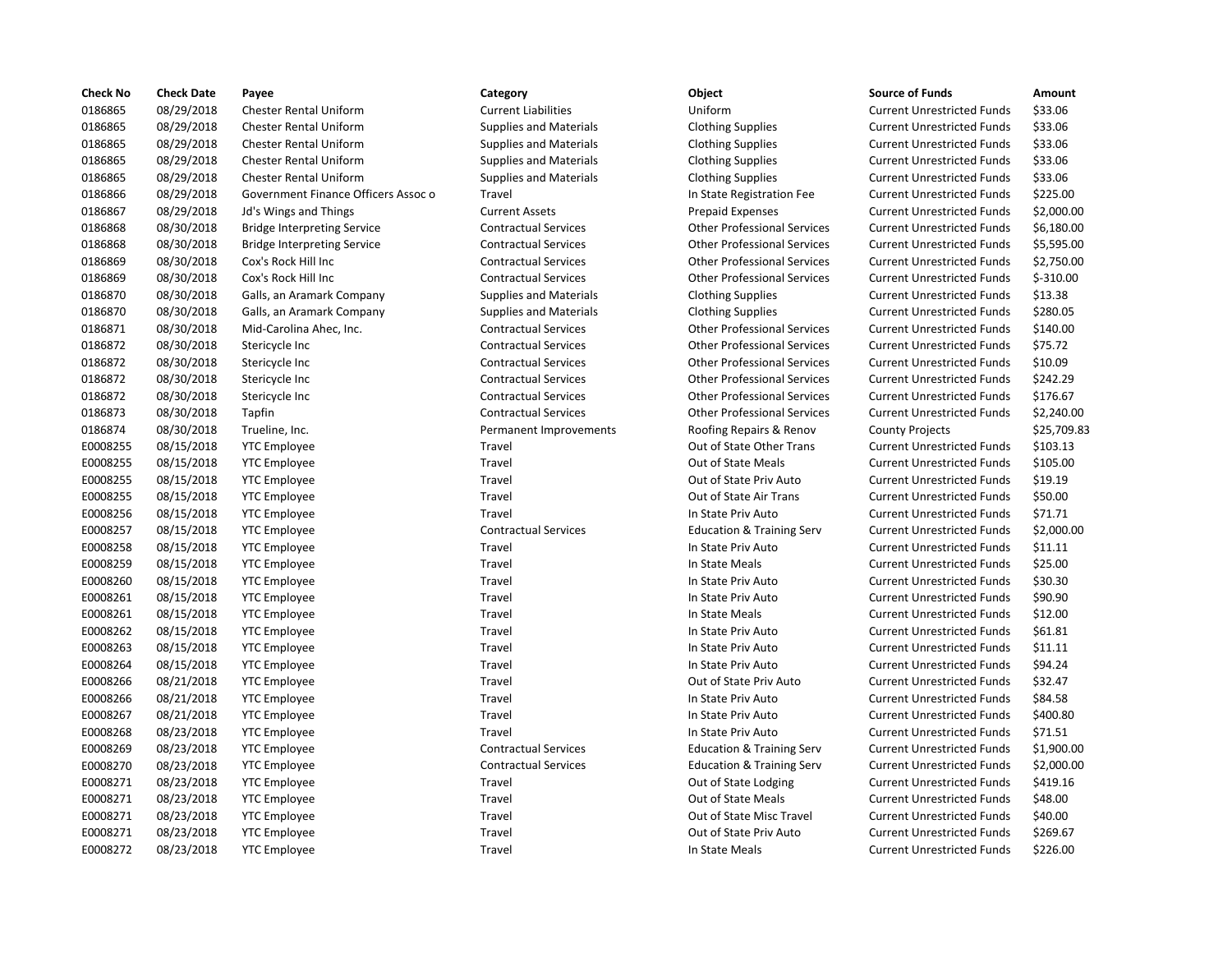| <b>Check No</b> | <b>Check Date</b> | Payee                               | Category                      | Object                               | <b>Source of Funds</b>            | Amount     |
|-----------------|-------------------|-------------------------------------|-------------------------------|--------------------------------------|-----------------------------------|------------|
| 0186865         | 08/29/2018        | <b>Chester Rental Uniform</b>       | <b>Current Liabilities</b>    | Uniform                              | <b>Current Unrestricted Funds</b> | \$33.06    |
| 0186865         | 08/29/2018        | <b>Chester Rental Uniform</b>       | <b>Supplies and Materials</b> | <b>Clothing Supplies</b>             | <b>Current Unrestricted Funds</b> | \$33.06    |
| 0186865         | 08/29/2018        | <b>Chester Rental Uniform</b>       | <b>Supplies and Materials</b> | <b>Clothing Supplies</b>             | <b>Current Unrestricted Funds</b> | \$33.06    |
| 0186865         | 08/29/2018        | <b>Chester Rental Uniform</b>       | <b>Supplies and Materials</b> | <b>Clothing Supplies</b>             | <b>Current Unrestricted Funds</b> | \$33.06    |
| 0186865         | 08/29/2018        | <b>Chester Rental Uniform</b>       | <b>Supplies and Materials</b> | <b>Clothing Supplies</b>             | <b>Current Unrestricted Funds</b> | \$33.06    |
| 0186866         | 08/29/2018        | Government Finance Officers Assoc o | Travel                        | In State Registration Fee            | <b>Current Unrestricted Funds</b> | \$225.00   |
| 0186867         | 08/29/2018        | Jd's Wings and Things               | <b>Current Assets</b>         | <b>Prepaid Expenses</b>              | <b>Current Unrestricted Funds</b> | \$2,000.0  |
| 0186868         | 08/30/2018        | <b>Bridge Interpreting Service</b>  | <b>Contractual Services</b>   | <b>Other Professional Services</b>   | <b>Current Unrestricted Funds</b> | \$6,180.0  |
| 0186868         | 08/30/2018        | <b>Bridge Interpreting Service</b>  | <b>Contractual Services</b>   | <b>Other Professional Services</b>   | <b>Current Unrestricted Funds</b> | \$5,595.0  |
| 0186869         | 08/30/2018        | Cox's Rock Hill Inc                 | <b>Contractual Services</b>   | <b>Other Professional Services</b>   | <b>Current Unrestricted Funds</b> | \$2,750.0  |
| 0186869         | 08/30/2018        | Cox's Rock Hill Inc                 | <b>Contractual Services</b>   | <b>Other Professional Services</b>   | <b>Current Unrestricted Funds</b> | $$-310.00$ |
| 0186870         | 08/30/2018        | Galls, an Aramark Company           | <b>Supplies and Materials</b> | <b>Clothing Supplies</b>             | <b>Current Unrestricted Funds</b> | \$13.38    |
| 0186870         | 08/30/2018        | Galls, an Aramark Company           | <b>Supplies and Materials</b> | <b>Clothing Supplies</b>             | <b>Current Unrestricted Funds</b> | \$280.05   |
| 0186871         | 08/30/2018        | Mid-Carolina Ahec, Inc.             | <b>Contractual Services</b>   | <b>Other Professional Services</b>   | <b>Current Unrestricted Funds</b> | \$140.00   |
| 0186872         | 08/30/2018        | Stericycle Inc                      | <b>Contractual Services</b>   | <b>Other Professional Services</b>   | <b>Current Unrestricted Funds</b> | \$75.72    |
| 0186872         | 08/30/2018        | Stericycle Inc                      | <b>Contractual Services</b>   | <b>Other Professional Services</b>   | <b>Current Unrestricted Funds</b> | \$10.09    |
| 0186872         | 08/30/2018        | Stericycle Inc                      | <b>Contractual Services</b>   | <b>Other Professional Services</b>   | <b>Current Unrestricted Funds</b> | \$242.29   |
| 0186872         | 08/30/2018        | Stericycle Inc                      | <b>Contractual Services</b>   | <b>Other Professional Services</b>   | <b>Current Unrestricted Funds</b> | \$176.67   |
| 0186873         | 08/30/2018        | Tapfin                              | <b>Contractual Services</b>   | <b>Other Professional Services</b>   | <b>Current Unrestricted Funds</b> | \$2,240.0  |
| 0186874         | 08/30/2018        | Trueline, Inc.                      | Permanent Improvements        | Roofing Repairs & Renov              | <b>County Projects</b>            | \$25,709   |
| E0008255        | 08/15/2018        | <b>YTC Employee</b>                 | Travel                        | Out of State Other Trans             | <b>Current Unrestricted Funds</b> | \$103.13   |
| E0008255        | 08/15/2018        | <b>YTC Employee</b>                 | Travel                        | <b>Out of State Meals</b>            | <b>Current Unrestricted Funds</b> | \$105.00   |
| E0008255        | 08/15/2018        | <b>YTC Employee</b>                 | Travel                        | Out of State Priv Auto               | <b>Current Unrestricted Funds</b> | \$19.19    |
| E0008255        | 08/15/2018        | <b>YTC Employee</b>                 | Travel                        | Out of State Air Trans               | <b>Current Unrestricted Funds</b> | \$50.00    |
| E0008256        | 08/15/2018        | <b>YTC Employee</b>                 | Travel                        | In State Priv Auto                   | <b>Current Unrestricted Funds</b> | \$71.71    |
| E0008257        | 08/15/2018        | <b>YTC Employee</b>                 | <b>Contractual Services</b>   | <b>Education &amp; Training Serv</b> | <b>Current Unrestricted Funds</b> | \$2,000.0  |
| E0008258        | 08/15/2018        | <b>YTC Employee</b>                 | Travel                        | In State Priv Auto                   | <b>Current Unrestricted Funds</b> | \$11.11    |
| E0008259        | 08/15/2018        | <b>YTC Employee</b>                 | Travel                        | In State Meals                       | <b>Current Unrestricted Funds</b> | \$25.00    |
| E0008260        | 08/15/2018        | <b>YTC Employee</b>                 | Travel                        | In State Priv Auto                   | <b>Current Unrestricted Funds</b> | \$30.30    |
| E0008261        | 08/15/2018        | <b>YTC Employee</b>                 | Travel                        | In State Priv Auto                   | <b>Current Unrestricted Funds</b> | \$90.90    |
| E0008261        | 08/15/2018        | <b>YTC Employee</b>                 | Travel                        | In State Meals                       | <b>Current Unrestricted Funds</b> | \$12.00    |
| E0008262        | 08/15/2018        | <b>YTC Employee</b>                 | Travel                        | In State Priv Auto                   | <b>Current Unrestricted Funds</b> | \$61.81    |
| E0008263        | 08/15/2018        | <b>YTC Employee</b>                 | Travel                        | In State Priv Auto                   | <b>Current Unrestricted Funds</b> | \$11.11    |
| E0008264        | 08/15/2018        | <b>YTC Employee</b>                 | Travel                        | In State Priv Auto                   | <b>Current Unrestricted Funds</b> | \$94.24    |
| E0008266        | 08/21/2018        | <b>YTC Employee</b>                 | Travel                        | Out of State Priv Auto               | <b>Current Unrestricted Funds</b> | \$32.47    |
| E0008266        | 08/21/2018        | <b>YTC Employee</b>                 | Travel                        | In State Priv Auto                   | <b>Current Unrestricted Funds</b> | \$84.58    |
| E0008267        | 08/21/2018        | <b>YTC Employee</b>                 | Travel                        | In State Priv Auto                   | <b>Current Unrestricted Funds</b> | \$400.80   |
| E0008268        | 08/23/2018        | <b>YTC Employee</b>                 | Travel                        | In State Priv Auto                   | <b>Current Unrestricted Funds</b> | \$71.51    |
| E0008269        | 08/23/2018        | <b>YTC Employee</b>                 | <b>Contractual Services</b>   | <b>Education &amp; Training Serv</b> | <b>Current Unrestricted Funds</b> | \$1,900.0  |
| E0008270        | 08/23/2018        | <b>YTC Employee</b>                 | <b>Contractual Services</b>   | <b>Education &amp; Training Serv</b> | <b>Current Unrestricted Funds</b> | \$2,000.0  |
| E0008271        | 08/23/2018        | <b>YTC Employee</b>                 | Travel                        | Out of State Lodging                 | <b>Current Unrestricted Funds</b> | \$419.16   |
| E0008271        | 08/23/2018        | <b>YTC Employee</b>                 | Travel                        | Out of State Meals                   | <b>Current Unrestricted Funds</b> | \$48.00    |
| E0008271        | 08/23/2018        | <b>YTC Employee</b>                 | Travel                        | Out of State Misc Travel             | <b>Current Unrestricted Funds</b> | \$40.00    |
| E0008271        | 08/23/2018        | <b>YTC Employee</b>                 | Travel                        | Out of State Priv Auto               | <b>Current Unrestricted Funds</b> | \$269.67   |
| E0008272        | 08/23/2018        | <b>YTC Employee</b>                 | Travel                        | In State Meals                       | <b>Current Unrestricted Funds</b> | \$226.00   |

# 0186865 08/29/2018 Chester Rental Uniform Current Liabilities Uniform Current Unrestricted Funds \$33.06 0186865 08/29/2018 Chester Rental Uniform Supplies and Materials Clothing Supplies Current Unrestricted Funds \$33.06 0186865 08/29/2018 Chester Rental Uniform Supplies and Materials Clothing Supplies Current Unrestricted Funds \$33.06 0186865 08/29/2018 Chester Rental Uniform Supplies and Materials Clothing Supplies Current Unrestricted Funds \$33.06 0186865 08/29/2018 Chester Rental Uniform Supplies and Materials Clothing Supplies Current Unrestricted Funds \$33.06 Assoc o Travel Current Unrestricted Funds \$225.00 0186867 08/29/2018 Jd's Wings and Things Current Assets Prepaid Expenses Current Unrestricted Funds \$2,000.00 0186868 08/30/2018 Bridge Interpreting Service Contractual Services Other Professional Services Current Unrestricted Funds \$6,180.00 Contractual Services **Contractual Services** Current Unrestricted Funds \$5,595.00 Contractual Services **Contractual Services** Other Professional Services Current Unrestricted Funds \$2,750.00 0186869 08/30/2018 Cox's Rock Hill Inc Contractual Services Other Professional Services Current Unrestricted Funds \$-310.00 0186870 08/30/2018 Galls, an Aramark Company Supplies and Materials Clothing Supplies Current Unrestricted Funds \$13.38 0186870 08/30/2018 Galls, an Aramark Company Supplies and Materials Clothing Supplies Current Unrestricted Funds \$280.05 0186871 08/30/2018 Mid-Carolina Ahec, Inc. Contractual Services Other Professional Services Current Unrestricted Funds \$140.00 Contractual Services **CONSICTED STERIC CONTRACT CONTRACTS** Current Unrestricted Funds \$75.72 0186872 08/30/2018 Stericycle Inc Contractual Services Other Professional Services Current Unrestricted Funds \$10.09 Contractual Services **Step-Ince Inc.** Other Professional Services Current Unrestricted Funds \$242.29 Contractual Services **Current Inc Contractual Services** Current Unrestricted Funds \$176.67 0186873 08/30/2018 Tapfin Contractual Services Other Professional Services Current Unrestricted Funds \$2,240.00 Permanent Improvements **Roofing Repairs & Renov** County Projects \$25,709.83 E0008255 08/15/2018 YTC Employee Travel Out of State Other Trans Current Unrestricted Funds \$103.13 E0008255 08/15/2018 YTC Employee Travel Out of State Meals Current Unrestricted Funds \$105.00 E0008255 08/15/2018 YTC Employee Travel Out of State Priv Auto Current Unrestricted Funds \$19.19 E0008255 08/15/2018 YTC Employee Travel Out of State Air Trans Current Unrestricted Funds \$50.00 Travel **EXECTS CONSIDENT IN State Priv Auto** Current Unrestricted Funds \$71.71 Contractual Services **Education & Training Serv** Current Unrestricted Funds \$2,000.00 Travel **EXECTS 200828 In State Priv Auto** Current Unrestricted Funds \$11.11 E0008259 08/15/2018 YTC Employee Travel In State Meals Current Unrestricted Funds \$25.00 E0008260 08/15/2018 YTC Employee Travel In State Priv Auto Current Unrestricted Funds \$30.30 E0008261 08/15/2018 YTC Employee Travel In State Priv Auto Current Unrestricted Funds \$90.90 E0008261 08/15/2018 YTC Employee Travel In State Meals Current Unrestricted Funds \$12.00 E0008262 08/15/2018 YTC Employee Travel In State Priv Auto Current Unrestricted Funds \$61.81 Travel **EXECO 826 OBSE In State Priv Auto** Current Unrestricted Funds \$11.11 E0008264 08/15/2018 YTC Employee Travel In State Priv Auto Current Unrestricted Funds \$94.24 Travel **EXECO 828 COUPENS** Out of State Priv Auto **Current Unrestricted Funds** \$32.47 Endel Travel Travel In State Priv Auto Current Unrestricted Funds \$84.58 Travel **EXECUTE:** In State Priv Auto Current Unrestricted Funds \$400.80 E0008268 08/23/2018 YTC Employee Travel In State Priv Auto Current Unrestricted Funds \$71.51 E0008269 08/23/2018 YTC Employee Contractual Services Education & Training Serv Current Unrestricted Funds \$1,900.00 Contractual Services **Education & Training Serv** Current Unrestricted Funds \$2,000.00 Travel **EXECUTE:** Cut of State Lodging Current Unrestricted Funds \$419.16 E0008271 08/23/2018 YTC Employee Travel Out of State Meals Current Unrestricted Funds \$48.00 E0008271 08/23/2018 YTC Employee Travel Out of State Misc Travel Current Unrestricted Funds \$40.00 Travel **EXACCE CONSTAND OUT OUT OUT OUT AUTOR** Current Unrestricted Funds \$269.67